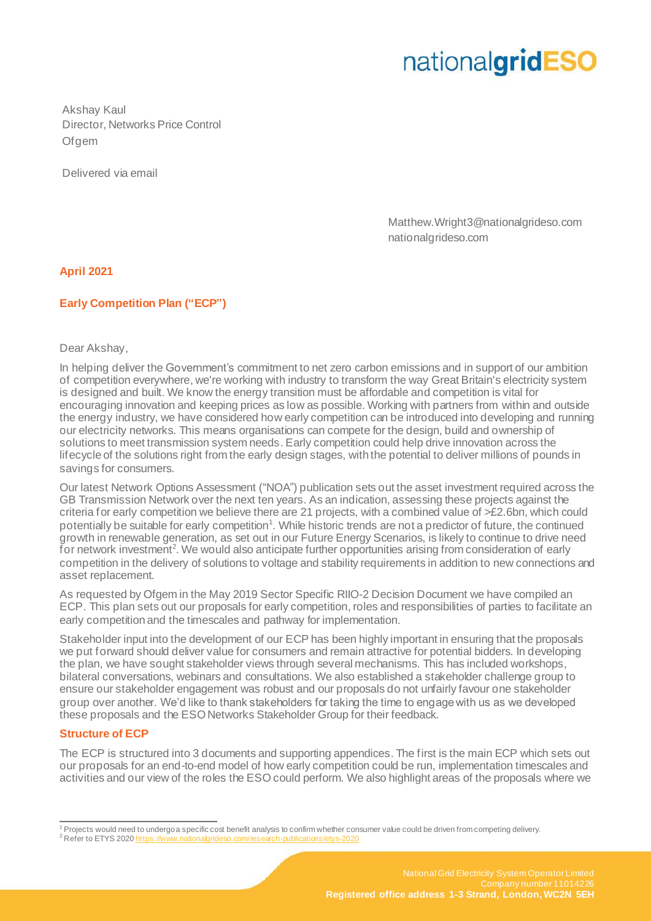Akshay Kaul Director, Networks Price Control Ofgem

Delivered via email

Matthew.Wright3@nationalgrideso.com nationalgrideso.com

### **April 2021**

### **Early Competition Plan ("ECP")**

Dear Akshay,

In helping deliver the Government's commitment to net zero carbon emissions and in support of our ambition of competition everywhere, we're working with industry to transform the way Great Britain's electricity system is designed and built. We know the energy transition must be affordable and competition is vital for encouraging innovation and keeping prices as low as possible. Working with partners from within and outside the energy industry, we have considered how early competition can be introduced into developing and running our electricity networks. This means organisations can compete for the design, build and ownership of solutions to meet transmission system needs. Early competition could help drive innovation across the lifecycle of the solutions right from the early design stages, with the potential to deliver millions of pounds in savings for consumers.

Our latest Network Options Assessment ("NOA") publication sets out the asset investment required across the GB Transmission Network over the next ten years. As an indication, assessing these projects against the criteria for early competition we believe there are 21 projects, with a combined value of >£2.6bn, which could potentially be suitable for early competition<sup>1</sup>. While historic trends are not a predictor of future, the continued growth in renewable generation, as set out in our Future Energy Scenarios, is likely to continue to drive need for network investment<sup>2</sup>. We would also anticipate further opportunities arising from consideration of early competition in the delivery of solutions to voltage and stability requirements in addition to new connections and asset replacement.

As requested by Ofgem in the May 2019 Sector Specific RIIO-2 Decision Document we have compiled an ECP. This plan sets out our proposals for early competition, roles and responsibilities of parties to facilitate an early competition and the timescales and pathway for implementation.

Stakeholder input into the development of our ECP has been highly important in ensuring that the proposals we put forward should deliver value for consumers and remain attractive for potential bidders. In developing the plan, we have sought stakeholder views through several mechanisms. This has included workshops, bilateral conversations, webinars and consultations. We also established a stakeholder challenge group to ensure our stakeholder engagement was robust and our proposals do not unfairly favour one stakeholder group over another. We'd like to thank stakeholders for taking the time to engage with us as we developed these proposals and the ESO Networks Stakeholder Group for their feedback.

### **Structure of ECP**

The ECP is structured into 3 documents and supporting appendices. The first is the main ECP which sets out our proposals for an end-to-end model of how early competition could be run, implementation timescales and activities and our view of the roles the ESO could perform. We also highlight areas of the proposals where we

<sup>&</sup>lt;sup>1</sup> Projects would need to undergo a specific cost benefit analysis to confirm whether consumer value could be driven from competing delivery.

<sup>&</sup>lt;sup>2</sup> Refer to ETYS 2020 http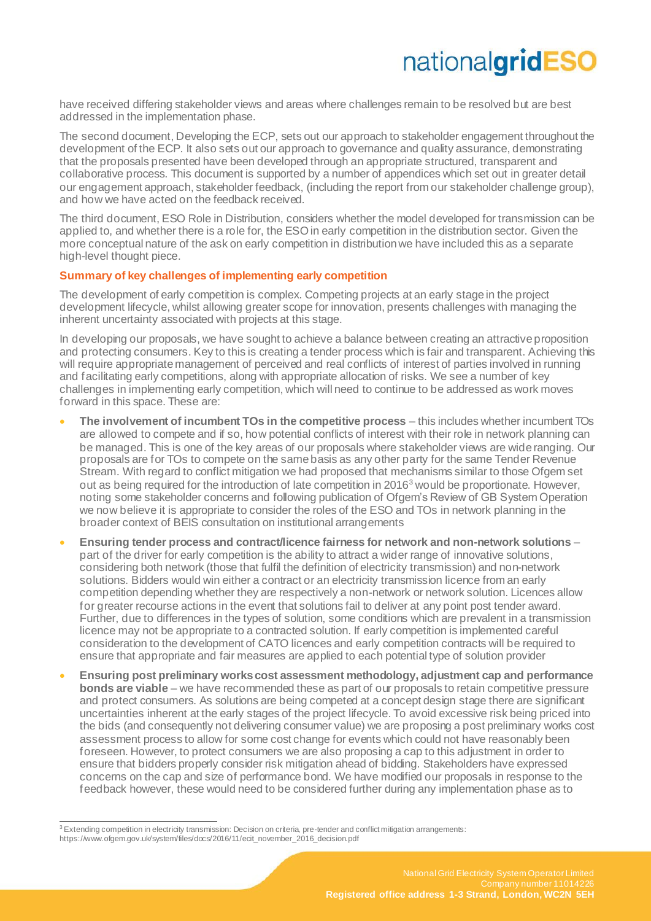have received differing stakeholder views and areas where challenges remain to be resolved but are best addressed in the implementation phase.

The second document, Developing the ECP, sets out our approach to stakeholder engagement throughout the development of the ECP. It also sets out our approach to governance and quality assurance, demonstrating that the proposals presented have been developed through an appropriate structured, transparent and collaborative process. This document is supported by a number of appendices which set out in greater detail our engagement approach, stakeholder feedback, (including the report from our stakeholder challenge group), and how we have acted on the feedback received.

The third document, ESO Role in Distribution, considers whether the model developed for transmission can be applied to, and whether there is a role for, the ESO in early competition in the distribution sector. Given the more conceptual nature of the ask on early competition in distribution we have included this as a separate high-level thought piece.

### **Summary of key challenges of implementing early competition**

The development of early competition is complex. Competing projects at an early stage in the project development lifecycle, whilst allowing greater scope for innovation, presents challenges with managing the inherent uncertainty associated with projects at this stage.

In developing our proposals, we have sought to achieve a balance between creating an attractive proposition and protecting consumers. Key to this is creating a tender process which is fair and transparent. Achieving this will require appropriate management of perceived and real conflicts of interest of parties involved in running and facilitating early competitions, along with appropriate allocation of risks. We see a number of key challenges in implementing early competition, which will need to continue to be addressed as work moves forward in this space. These are:

- **The involvement of incumbent TOs in the competitive process** this includes whether incumbent TOs are allowed to compete and if so, how potential conflicts of interest with their role in network planning can be managed. This is one of the key areas of our proposals where stakeholder views are wide ranging. Our proposals are for TOs to compete on the same basis as any other party for the same Tender Revenue Stream. With regard to conflict mitigation we had proposed that mechanisms similar to those Ofgem set out as being required for the introduction of late competition in  $2016<sup>3</sup>$  would be proportionate. However, noting some stakeholder concerns and following publication of Ofgem's Review of GB System Operation we now believe it is appropriate to consider the roles of the ESO and TOs in network planning in the broader context of BEIS consultation on institutional arrangements
- **Ensuring tender process and contract/licence fairness for network and non-network solutions** part of the driver for early competition is the ability to attract a wider range of innovative solutions, considering both network (those that fulfil the definition of electricity transmission) and non-network solutions. Bidders would win either a contract or an electricity transmission licence from an early competition depending whether they are respectively a non-network or network solution. Licences allow for greater recourse actions in the event that solutions fail to deliver at any point post tender award. Further, due to differences in the types of solution, some conditions which are prevalent in a transmission licence may not be appropriate to a contracted solution. If early competition is implemented careful consideration to the development of CATO licences and early competition contracts will be required to ensure that appropriate and fair measures are applied to each potential type of solution provider
- **Ensuring post preliminary works cost assessment methodology, adjustment cap and performance bonds are viable** – we have recommended these as part of our proposals to retain competitive pressure and protect consumers. As solutions are being competed at a concept design stage there are significant uncertainties inherent at the early stages of the project lifecycle. To avoid excessive risk being priced into the bids (and consequently not delivering consumer value) we are proposing a post preliminary works cost assessment process to allow for some cost change for events which could not have reasonably been foreseen. However, to protect consumers we are also proposing a cap to this adjustment in order to ensure that bidders properly consider risk mitigation ahead of bidding. Stakeholders have expressed concerns on the cap and size of performance bond. We have modified our proposals in response to the feedback however, these would need to be considered further during any implementation phase as to

<sup>&</sup>lt;sup>3</sup> Extending competition in electricity transmission: Decision on criteria, pre-tender and conflict mitigation arrangements: https://www.ofgem.gov.uk/system/files/docs/2016/11/ecit\_november\_2016\_decision.pdf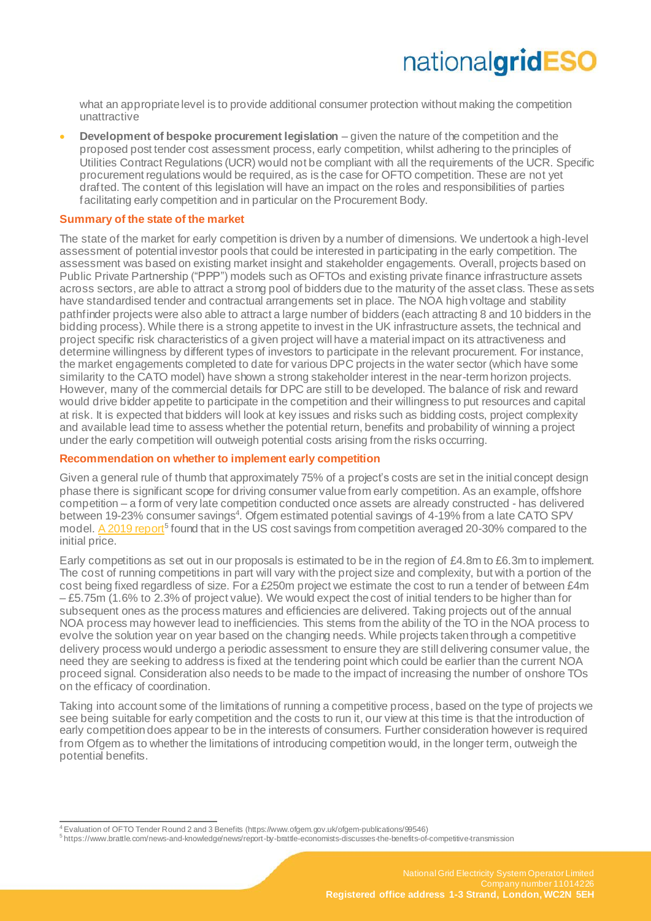what an appropriate level is to provide additional consumer protection without making the competition unattractive

• **Development of bespoke procurement legislation** – given the nature of the competition and the proposed post tender cost assessment process, early competition, whilst adhering to the principles of Utilities Contract Regulations (UCR) would not be compliant with all the requirements of the UCR. Specific procurement regulations would be required, as is the case for OFTO competition. These are not yet drafted. The content of this legislation will have an impact on the roles and responsibilities of parties facilitating early competition and in particular on the Procurement Body.

#### **Summary of the state of the market**

The state of the market for early competition is driven by a number of dimensions. We undertook a high-level assessment of potential investor pools that could be interested in participating in the early competition. The assessment was based on existing market insight and stakeholder engagements. Overall, projects based on Public Private Partnership ("PPP") models such as OFTOs and existing private finance infrastructure assets across sectors, are able to attract a strong pool of bidders due to the maturity of the asset class. These assets have standardised tender and contractual arrangements set in place. The NOA high voltage and stability pathfinder projects were also able to attract a large number of bidders (each attracting 8 and 10 bidders in the bidding process). While there is a strong appetite to invest in the UK infrastructure assets, the technical and project specific risk characteristics of a given project will have a material impact on its attractiveness and determine willingness by different types of investors to participate in the relevant procurement. For instance, the market engagements completed to date for various DPC projects in the water sector (which have some similarity to the CATO model) have shown a strong stakeholder interest in the near-term horizon projects. However, many of the commercial details for DPC are still to be developed. The balance of risk and reward would drive bidder appetite to participate in the competition and their willingness to put resources and capital at risk. It is expected that bidders will look at key issues and risks such as bidding costs, project complexity and available lead time to assess whether the potential return, benefits and probability of winning a project under the early competition will outweigh potential costs arising from the risks occurring.

#### **Recommendation on whether to implement early competition**

Given a general rule of thumb that approximately 75% of a project's costs are set in the initial concept design phase there is significant scope for driving consumer value from early competition. As an example, offshore competition – a form of very late competition conducted once assets are already constructed - has delivered between 19-23% consumer savings<sup>4</sup>. Ofgem estimated potential savings of 4-19% from a late CATO SPV model[. A 2019 report](https://www.brattle.com/news-and-knowledge/news/report-by-brattle-economists-discusses-the-benefits-of-competitive-transmission)<sup>5</sup> found that in the US cost savings from competition averaged 20-30% compared to the initial price.

Early competitions as set out in our proposals is estimated to be in the region of  $£4.8$ m to  $£6.3$ m to implement. The cost of running competitions in part will vary with the project size and complexity, but with a portion of the cost being fixed regardless of size. For a £250m project we estimate the cost to run a tender of between £4m – £5.75m (1.6% to 2.3% of project value). We would expect the cost of initial tenders to be higher than for subsequent ones as the process matures and efficiencies are delivered. Taking projects out of the annual NOA process may however lead to inefficiencies. This stems from the ability of the TO in the NOA process to evolve the solution year on year based on the changing needs. While projects taken through a competitive delivery process would undergo a periodic assessment to ensure they are still delivering consumer value, the need they are seeking to address is fixed at the tendering point which could be earlier than the current NOA proceed signal. Consideration also needs to be made to the impact of increasing the number of onshore TOs on the efficacy of coordination.

Taking into account some of the limitations of running a competitive process, based on the type of projects we see being suitable for early competition and the costs to run it, our view at this time is that the introduction of early competition does appear to be in the interests of consumers. Further consideration however is required from Ofgem as to whether the limitations of introducing competition would, in the longer term, outweigh the potential benefits.

<sup>&</sup>lt;sup>4</sup> Evaluation of OFTO Tender Round 2 and 3 Benefits (https://www.ofgem.gov.uk/ofgem-publications/99546)

<sup>5</sup> https://www.brattle.com/news-and-knowledge/news/report-by-brattle-economists-discusses-the-benefits-of-competitive-transmission